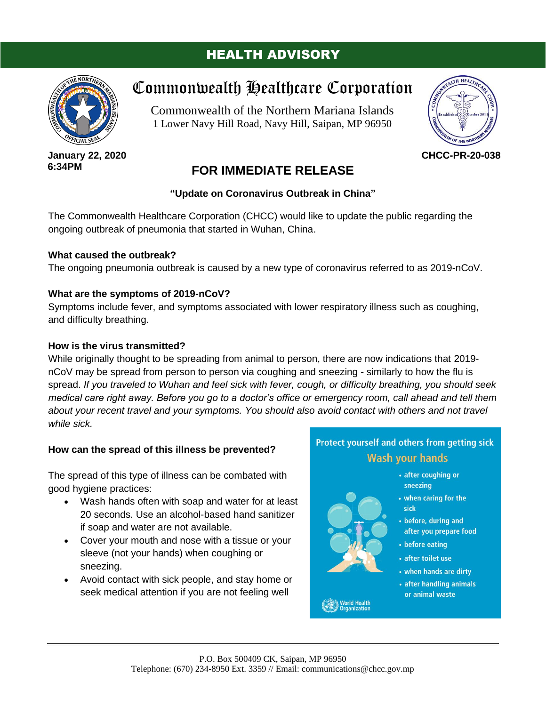## HEALTH ADVISORY



**January 22, 2020 6:34PM**

# Commonwealth Healthcare Corporation

Commonwealth of the Northern Mariana Islands 1 Lower Navy Hill Road, Navy Hill, Saipan, MP 96950



**CHCC-PR-20-038**

## **FOR IMMEDIATE RELEASE**

### **"Update on Coronavirus Outbreak in China"**

The Commonwealth Healthcare Corporation (CHCC) would like to update the public regarding the ongoing outbreak of pneumonia that started in Wuhan, China.

#### **What caused the outbreak?**

The ongoing pneumonia outbreak is caused by a new type of coronavirus referred to as 2019-nCoV.

#### **What are the symptoms of 2019-nCoV?**

Symptoms include fever, and symptoms associated with lower respiratory illness such as coughing, and difficulty breathing.

#### **How is the virus transmitted?**

While originally thought to be spreading from animal to person, there are now indications that 2019 nCoV may be spread from person to person via coughing and sneezing - similarly to how the flu is spread. *If you traveled to Wuhan and feel sick with fever, cough, or difficulty breathing, you should seek medical care right away. Before you go to a doctor's office or emergency room, call ahead and tell them about your recent travel and your symptoms. You should also avoid contact with others and not travel while sick.*

#### **How can the spread of this illness be prevented?**

The spread of this type of illness can be combated with good hygiene practices:

- Wash hands often with soap and water for at least 20 seconds. Use an alcohol-based hand sanitizer if soap and water are not available.
- Cover your mouth and nose with a tissue or your sleeve (not your hands) when coughing or sneezing.
- Avoid contact with sick people, and stay home or seek medical attention if you are not feeling well

**Protect vourself and others from getting sick Wash your hands** 



- after coughing or sneezing
- when caring for the sick
- before, during and after you prepare food
- before eating
- after toilet use
- when hands are dirty • after handling animals
- or animal waste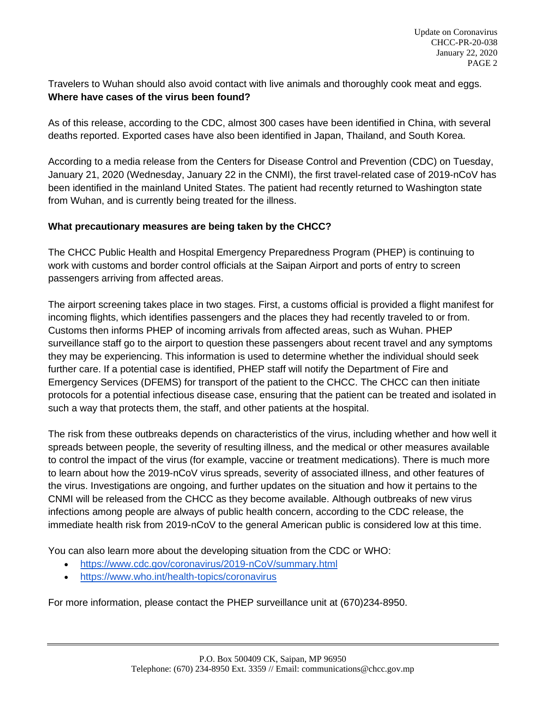#### Travelers to Wuhan should also avoid contact with live animals and thoroughly cook meat and eggs. **Where have cases of the virus been found?**

As of this release, according to the CDC, almost 300 cases have been identified in China, with several deaths reported. Exported cases have also been identified in Japan, Thailand, and South Korea.

According to a media release from the Centers for Disease Control and Prevention (CDC) on Tuesday, January 21, 2020 (Wednesday, January 22 in the CNMI), the first travel-related case of 2019-nCoV has been identified in the mainland United States. The patient had recently returned to Washington state from Wuhan, and is currently being treated for the illness.

#### **What precautionary measures are being taken by the CHCC?**

The CHCC Public Health and Hospital Emergency Preparedness Program (PHEP) is continuing to work with customs and border control officials at the Saipan Airport and ports of entry to screen passengers arriving from affected areas.

The airport screening takes place in two stages. First, a customs official is provided a flight manifest for incoming flights, which identifies passengers and the places they had recently traveled to or from. Customs then informs PHEP of incoming arrivals from affected areas, such as Wuhan. PHEP surveillance staff go to the airport to question these passengers about recent travel and any symptoms they may be experiencing. This information is used to determine whether the individual should seek further care. If a potential case is identified, PHEP staff will notify the Department of Fire and Emergency Services (DFEMS) for transport of the patient to the CHCC. The CHCC can then initiate protocols for a potential infectious disease case, ensuring that the patient can be treated and isolated in such a way that protects them, the staff, and other patients at the hospital.

The risk from these outbreaks depends on characteristics of the virus, including whether and how well it spreads between people, the severity of resulting illness, and the medical or other measures available to control the impact of the virus (for example, vaccine or treatment medications). There is much more to learn about how the 2019-nCoV virus spreads, severity of associated illness, and other features of the virus. Investigations are ongoing, and further updates on the situation and how it pertains to the CNMI will be released from the CHCC as they become available. Although outbreaks of new virus infections among people are always of public health concern, according to the CDC release, the immediate health risk from 2019-nCoV to the general American public is considered low at this time.

You can also learn more about the developing situation from the CDC or WHO:

- <https://www.cdc.gov/coronavirus/2019-nCoV/summary.html>
- <https://www.who.int/health-topics/coronavirus>

For more information, please contact the PHEP surveillance unit at (670)234-8950.